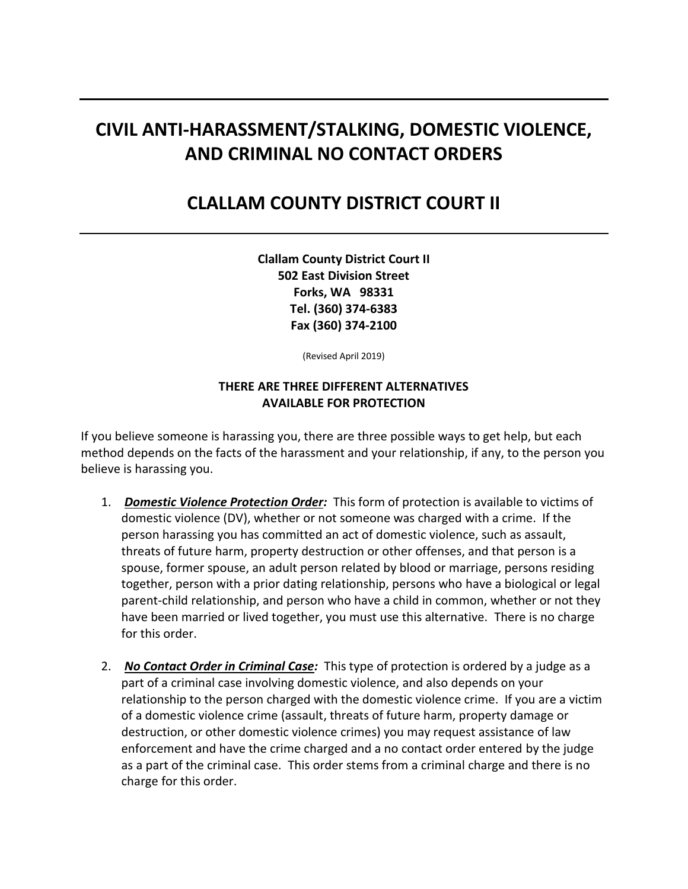# **CIVIL ANTI-HARASSMENT/STALKING, DOMESTIC VIOLENCE, AND CRIMINAL NO CONTACT ORDERS**

# **CLALLAM COUNTY DISTRICT COURT II**

**Clallam County District Court II 502 East Division Street Forks, WA 98331 Tel. (360) 374-6383 Fax (360) 374-2100**

(Revised April 2019)

#### **THERE ARE THREE DIFFERENT ALTERNATIVES AVAILABLE FOR PROTECTION**

If you believe someone is harassing you, there are three possible ways to get help, but each method depends on the facts of the harassment and your relationship, if any, to the person you believe is harassing you.

- 1. *Domestic Violence Protection Order:* This form of protection is available to victims of domestic violence (DV), whether or not someone was charged with a crime. If the person harassing you has committed an act of domestic violence, such as assault, threats of future harm, property destruction or other offenses, and that person is a spouse, former spouse, an adult person related by blood or marriage, persons residing together, person with a prior dating relationship, persons who have a biological or legal parent-child relationship, and person who have a child in common, whether or not they have been married or lived together, you must use this alternative. There is no charge for this order.
- 2. *No Contact Order in Criminal Case:* This type of protection is ordered by a judge as a part of a criminal case involving domestic violence, and also depends on your relationship to the person charged with the domestic violence crime. If you are a victim of a domestic violence crime (assault, threats of future harm, property damage or destruction, or other domestic violence crimes) you may request assistance of law enforcement and have the crime charged and a no contact order entered by the judge as a part of the criminal case. This order stems from a criminal charge and there is no charge for this order.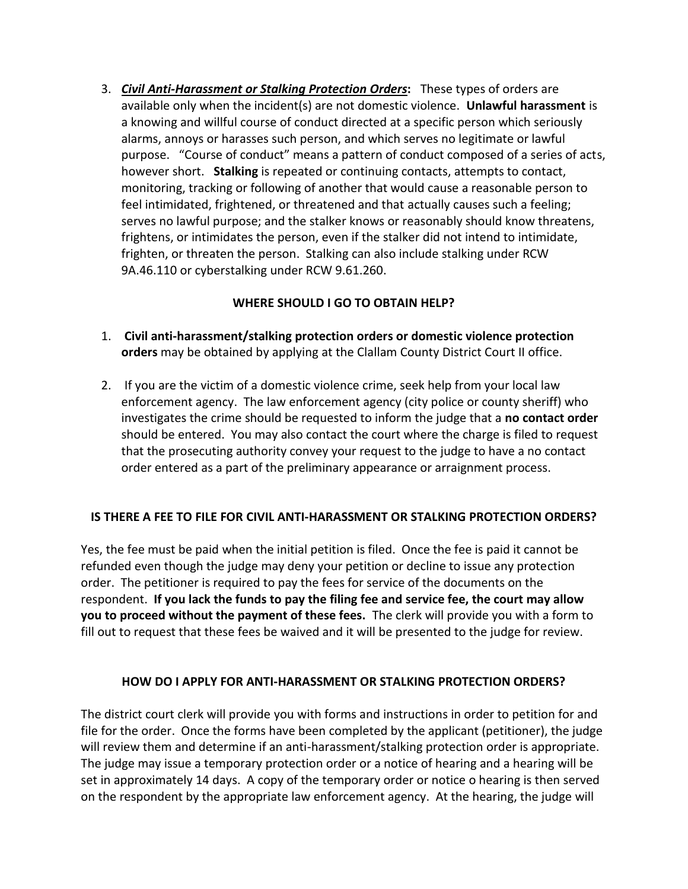3. *Civil Anti-Harassment or Stalking Protection Orders***:** These types of orders are available only when the incident(s) are not domestic violence. **Unlawful harassment** is a knowing and willful course of conduct directed at a specific person which seriously alarms, annoys or harasses such person, and which serves no legitimate or lawful purpose. "Course of conduct" means a pattern of conduct composed of a series of acts, however short. **Stalking** is repeated or continuing contacts, attempts to contact, monitoring, tracking or following of another that would cause a reasonable person to feel intimidated, frightened, or threatened and that actually causes such a feeling; serves no lawful purpose; and the stalker knows or reasonably should know threatens, frightens, or intimidates the person, even if the stalker did not intend to intimidate, frighten, or threaten the person. Stalking can also include stalking under RCW 9A.46.110 or cyberstalking under RCW 9.61.260.

### **WHERE SHOULD I GO TO OBTAIN HELP?**

- 1. **Civil anti-harassment/stalking protection orders or domestic violence protection orders** may be obtained by applying at the Clallam County District Court II office.
- 2. If you are the victim of a domestic violence crime, seek help from your local law enforcement agency. The law enforcement agency (city police or county sheriff) who investigates the crime should be requested to inform the judge that a **no contact order**  should be entered. You may also contact the court where the charge is filed to request that the prosecuting authority convey your request to the judge to have a no contact order entered as a part of the preliminary appearance or arraignment process.

#### **IS THERE A FEE TO FILE FOR CIVIL ANTI-HARASSMENT OR STALKING PROTECTION ORDERS?**

Yes, the fee must be paid when the initial petition is filed. Once the fee is paid it cannot be refunded even though the judge may deny your petition or decline to issue any protection order. The petitioner is required to pay the fees for service of the documents on the respondent. **If you lack the funds to pay the filing fee and service fee, the court may allow you to proceed without the payment of these fees.** The clerk will provide you with a form to fill out to request that these fees be waived and it will be presented to the judge for review.

## **HOW DO I APPLY FOR ANTI-HARASSMENT OR STALKING PROTECTION ORDERS?**

The district court clerk will provide you with forms and instructions in order to petition for and file for the order. Once the forms have been completed by the applicant (petitioner), the judge will review them and determine if an anti-harassment/stalking protection order is appropriate. The judge may issue a temporary protection order or a notice of hearing and a hearing will be set in approximately 14 days. A copy of the temporary order or notice o hearing is then served on the respondent by the appropriate law enforcement agency. At the hearing, the judge will